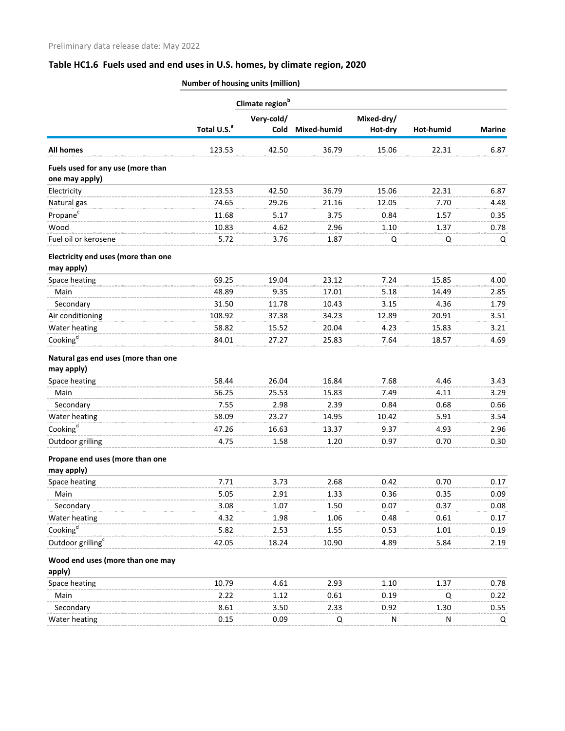## **Table HC1.6 Fuels used and end uses in U.S. homes, by climate region, 2020**

|                                                   |                         | Climate region <sup>b</sup> |             | Mixed-dry/ |           |               |
|---------------------------------------------------|-------------------------|-----------------------------|-------------|------------|-----------|---------------|
|                                                   |                         | Very-cold/                  |             |            |           |               |
|                                                   | Total U.S. <sup>a</sup> | <b>Cold</b>                 | Mixed-humid | Hot-dry    | Hot-humid | <b>Marine</b> |
| <b>All homes</b>                                  | 123.53                  | 42.50                       | 36.79       | 15.06      | 22.31     | 6.87          |
| Fuels used for any use (more than                 |                         |                             |             |            |           |               |
| one may apply)                                    |                         |                             |             |            |           |               |
| Electricity                                       | 123.53                  | 42.50                       | 36.79       | 15.06      | 22.31     | 6.87          |
| Natural gas                                       | 74.65                   | 29.26                       | 21.16       | 12.05      | 7.70      | 4.48          |
| Propane <sup>c</sup>                              | 11.68                   | 5.17                        | 3.75        | 0.84       | 1.57      | 0.35          |
| Wood                                              | 10.83                   | 4.62                        | 2.96        | 1.10       | 1.37      | 0.78          |
| Fuel oil or kerosene                              | 5.72                    | 3.76                        | 1.87        | Q          | Q         | Q             |
| Electricity end uses (more than one<br>may apply) |                         |                             |             |            |           |               |
| Space heating                                     | 69.25                   | 19.04                       | 23.12       | 7.24       | 15.85     | 4.00          |
| Main                                              | 48.89                   | 9.35                        | 17.01       | 5.18       | 14.49     | 2.85          |
| Secondary                                         | 31.50                   | 11.78                       | 10.43       | 3.15       | 4.36      | 1.79          |
| Air conditioning                                  | 108.92                  | 37.38                       | 34.23       | 12.89      | 20.91     | 3.51          |
| Water heating                                     | 58.82                   | 15.52                       | 20.04       | 4.23       | 15.83     | 3.21          |
| Cooking <sup>d</sup>                              | 84.01                   | 27.27                       | 25.83       | 7.64       | 18.57     | 4.69          |
| Natural gas end uses (more than one               |                         |                             |             |            |           |               |
| may apply)                                        |                         |                             |             |            |           |               |
| Space heating                                     | 58.44                   | 26.04                       | 16.84       | 7.68       | 4.46      | 3.43          |
| Main                                              | 56.25                   | 25.53                       | 15.83       | 7.49       | 4.11      | 3.29          |
| Secondary                                         | 7.55                    | 2.98                        | 2.39        | 0.84       | 0.68      | 0.66          |
| Water heating                                     | 58.09                   | 23.27                       | 14.95       | 10.42      | 5.91      | 3.54          |
| Cooking <sup>d</sup>                              | 47.26                   | 16.63                       | 13.37       | 9.37       | 4.93      | 2.96          |
| Outdoor grilling                                  | 4.75                    | 1.58                        | 1.20        | 0.97       | 0.70      | 0.30          |
| Propane end uses (more than one                   |                         |                             |             |            |           |               |
| may apply)                                        |                         |                             |             |            |           |               |
| Space heating                                     | 7.71                    | 3.73                        | 2.68        | 0.42       | 0.70      | 0.17          |
| Main                                              | 5.05                    | 2.91                        | 1.33        | 0.36       | 0.35      | 0.09          |
| Secondary                                         | 3.08                    | 1.07                        | 1.50        | 0.07       | 0.37      | 0.08          |
| Water heating                                     | 4.32                    | 1.98                        | 1.06        | 0.48       | 0.61      | 0.17          |
| Cooking $\mathbf{g}^{\mathbf{d}}$                 | 5.82                    | 2.53                        | 1.55        | 0.53       | 1.01      | 0.19          |
| Outdoor grilling <sup>c</sup>                     | 42.05                   | 18.24                       | 10.90       | 4.89       | 5.84      | 2.19          |
| Wood end uses (more than one may<br>apply)        |                         |                             |             |            |           |               |
| Space heating                                     | 10.79                   | 4.61                        | 2.93        | 1.10       | 1.37      | 0.78          |
| Main                                              | 2.22                    | 1.12                        | 0.61        | 0.19       | Q         | 0.22          |
| Secondary                                         | 8.61                    | 3.50                        | 2.33        | 0.92       | 1.30      | 0.55          |
| Water heating                                     | 0.15                    | 0.09                        | Q           | N          | N         | Q             |

**Number of housing units (million)**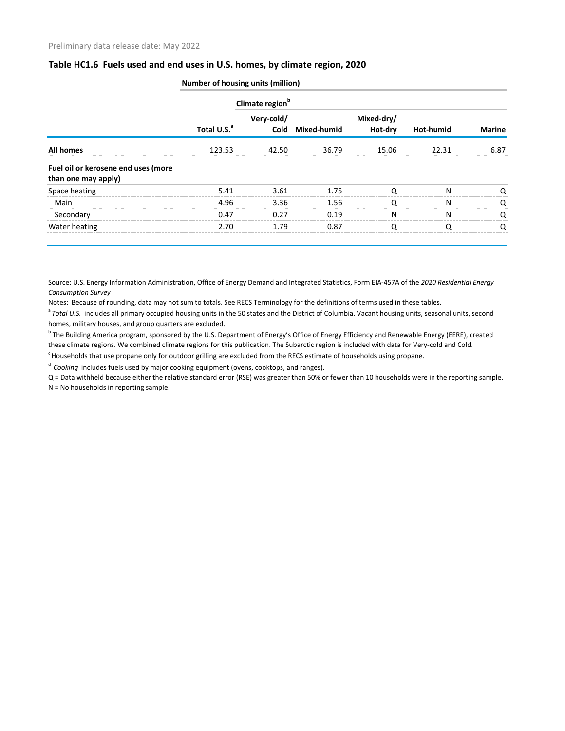## **Table HC1.6 Fuels used and end uses in U.S. homes, by climate region, 2020**

|                                                            |                         | Climate region <sup>b</sup> |                  |                       |                  |               |
|------------------------------------------------------------|-------------------------|-----------------------------|------------------|-----------------------|------------------|---------------|
|                                                            | Total U.S. <sup>a</sup> | Very-cold/                  | Cold Mixed-humid | Mixed-dry/<br>Hot-dry | <b>Hot-humid</b> | <b>Marine</b> |
| <b>All homes</b>                                           | 123.53                  | 42.50                       | 36.79            | 15.06                 | 22.31            | 6.87          |
| Fuel oil or kerosene end uses (more<br>than one may apply) |                         |                             |                  |                       |                  |               |
| Space heating                                              | 5.41                    | 3.61                        | 1.75             |                       | N                |               |
| Main                                                       | 4.96                    | 3.36                        | 1.56             |                       | N                | O             |
| Secondary                                                  | 0.47                    | 0.27                        | 0.19             | N                     | N                | O             |
| Water heating                                              | 2.70                    | 1.79                        | 0.87             |                       |                  |               |

**Number of housing units (million)**

Source: U.S. Energy Information Administration, Office of Energy Demand and Integrated Statistics, Form EIA-457A of the *2020 Residential Energy Consumption Survey*

Notes: Because of rounding, data may not sum to totals. See RECS Terminology for the definitions of terms used in these tables.

<sup>a</sup> Total U.S. includes all primary occupied housing units in the 50 states and the District of Columbia. Vacant housing units, seasonal units, second homes, military houses, and group quarters are excluded.

<sup>b</sup> The Building America program, sponsored by the U.S. Department of Energy's Office of Energy Efficiency and Renewable Energy (EERE), created these climate regions. We combined climate regions for this publication. The Subarctic region is included with data for Very-cold and Cold.

<sup>c</sup> Households that use propane only for outdoor grilling are excluded from the RECS estimate of households using propane.

<sup>d</sup> Cooking includes fuels used by major cooking equipment (ovens, cooktops, and ranges).

Q = Data withheld because either the relative standard error (RSE) was greater than 50% or fewer than 10 households were in the reporting sample. N = No households in reporting sample.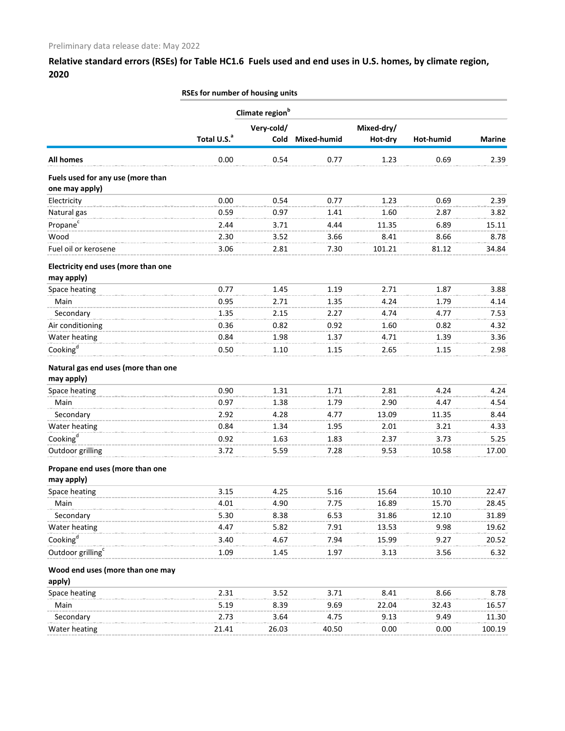## **Relative standard errors (RSEs) for Table HC1.6 Fuels used and end uses in U.S. homes, by climate region, 2020**

**RSEs for number of housing units**

|                                                     |                         | Climate region <sup>b</sup> |             |            |           |               |
|-----------------------------------------------------|-------------------------|-----------------------------|-------------|------------|-----------|---------------|
|                                                     |                         | Very-cold/                  |             | Mixed-dry/ |           |               |
|                                                     | Total U.S. <sup>a</sup> | Cold                        | Mixed-humid | Hot-dry    | Hot-humid | <b>Marine</b> |
| <b>All homes</b>                                    | 0.00                    | 0.54                        | 0.77        | 1.23       | 0.69      | 2.39          |
| Fuels used for any use (more than<br>one may apply) |                         |                             |             |            |           |               |
| Electricity                                         | 0.00                    | 0.54                        | 0.77        | 1.23       | 0.69      | 2.39          |
| Natural gas                                         | 0.59                    | 0.97                        | 1.41        | 1.60       | 2.87      | 3.82          |
| Propane <sup>c</sup>                                | 2.44                    | 3.71                        | 4.44        | 11.35      | 6.89      | 15.11         |
| Wood                                                | 2.30                    | 3.52                        | 3.66        | 8.41       | 8.66      | 8.78          |
| Fuel oil or kerosene                                | 3.06                    | 2.81                        | 7.30        | 101.21     | 81.12     | 34.84         |
| Electricity end uses (more than one<br>may apply)   |                         |                             |             |            |           |               |
| Space heating                                       | 0.77                    | 1.45                        | 1.19        | 2.71       | 1.87      | 3.88          |
| Main                                                | 0.95                    | 2.71                        | 1.35        | 4.24       | 1.79      | 4.14          |
| Secondary                                           | 1.35                    | 2.15                        | 2.27        | 4.74       | 4.77      | 7.53          |
| Air conditioning                                    | 0.36                    | 0.82                        | 0.92        | 1.60       | 0.82      | 4.32          |
| Water heating                                       | 0.84                    | 1.98                        | 1.37        | 4.71       | 1.39      | 3.36          |
| Cooking <sup>d</sup>                                | 0.50                    | 1.10                        | 1.15        | 2.65       | 1.15      | 2.98          |
| Natural gas end uses (more than one<br>may apply)   |                         |                             |             |            |           |               |
| Space heating                                       | 0.90                    | 1.31                        | 1.71        | 2.81       | 4.24      | 4.24          |
| Main                                                | 0.97                    | 1.38                        | 1.79        | 2.90       | 4.47      | 4.54          |
| Secondary                                           | 2.92                    | 4.28                        | 4.77        | 13.09      | 11.35     | 8.44          |
| Water heating                                       | 0.84                    | 1.34                        | 1.95        | 2.01       | 3.21      | 4.33          |
| Cooking <sup>d</sup>                                | 0.92                    | 1.63                        | 1.83        | 2.37       | 3.73      | 5.25          |
| Outdoor grilling                                    | 3.72                    | 5.59                        | 7.28        | 9.53       | 10.58     | 17.00         |
| Propane end uses (more than one                     |                         |                             |             |            |           |               |
| may apply)<br>Space heating                         | 3.15                    | 4.25                        | 5.16        | 15.64      | 10.10     | 22.47         |
| Main                                                | 4.01                    | 4.90                        | 7.75        | 16.89      | 15.70     | 28.45         |
| Secondary                                           | 5.30                    | 8.38                        | 6.53        | 31.86      | 12.10     | 31.89         |
| Water heating                                       | 4.47                    | 5.82                        | 7.91        | 13.53      | 9.98      | 19.62         |
| Cooking <sup>d</sup>                                | 3.40                    | 4.67                        | 7.94        | 15.99      | 9.27      | 20.52         |
| Outdoor grilling <sup>c</sup>                       | 1.09                    | 1.45                        | 1.97        | 3.13       | 3.56      | 6.32          |
|                                                     |                         |                             |             |            |           |               |
| Wood end uses (more than one may<br>apply)          |                         |                             |             |            |           |               |
| Space heating                                       | 2.31                    | 3.52                        | 3.71        | 8.41       | 8.66      | 8.78          |
| Main                                                | 5.19                    | 8.39                        | 9.69        | 22.04      | 32.43     | 16.57         |
| Secondary                                           | 2.73                    | 3.64                        | 4.75        | 9.13       | 9.49      | 11.30         |
| Water heating                                       | 21.41                   | 26.03                       | 40.50       | 0.00       | 0.00      | 100.19        |